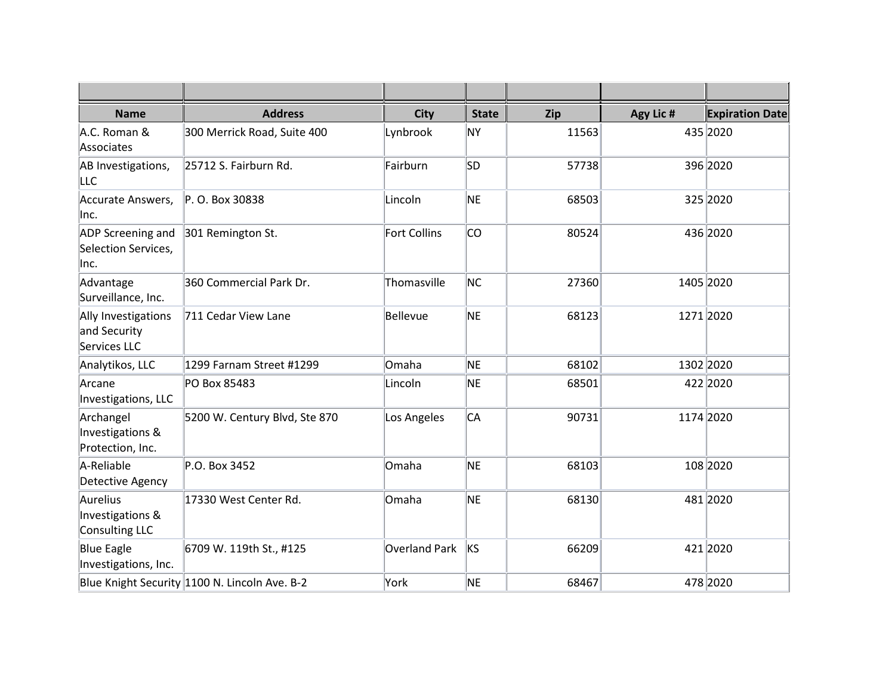| <b>Name</b>                                         | <b>Address</b>                                | <b>City</b>          | <b>State</b> | Zip   | Agy Lic # | <b>Expiration Date</b> |
|-----------------------------------------------------|-----------------------------------------------|----------------------|--------------|-------|-----------|------------------------|
| A.C. Roman &<br>Associates                          | 300 Merrick Road, Suite 400                   | Lynbrook             | ΝY           | 11563 |           | 435 2020               |
| AB Investigations,<br><b>LLC</b>                    | 25712 S. Fairburn Rd.                         | Fairburn             | lsd.         | 57738 |           | 396 2020               |
| Accurate Answers,<br> Inc.                          | P. O. Box 30838                               | Lincoln              | NE           | 68503 |           | 325 2020               |
| ADP Screening and<br>Selection Services,<br> Inc.   | 301 Remington St.                             | <b>Fort Collins</b>  | lco          | 80524 |           | 436 2020               |
| Advantage<br>Surveillance, Inc.                     | 360 Commercial Park Dr.                       | Thomasville          | NC           | 27360 |           | 1405 2020              |
| Ally Investigations<br>and Security<br>Services LLC | 711 Cedar View Lane                           | Bellevue             | NE           | 68123 |           | 1271 2020              |
| Analytikos, LLC                                     | 1299 Farnam Street #1299                      | Omaha                | NE           | 68102 |           | 1302 2020              |
| Arcane<br>Investigations, LLC                       | PO Box 85483                                  | Lincoln              | NE           | 68501 |           | 422 2020               |
| Archangel<br>Investigations &<br>Protection, Inc.   | 5200 W. Century Blvd, Ste 870                 | Los Angeles          | CА           | 90731 |           | 1174 2020              |
| A-Reliable<br>Detective Agency                      | P.O. Box 3452                                 | Omaha                | NE           | 68103 |           | 108 2020               |
| Aurelius<br>Investigations &<br>Consulting LLC      | 17330 West Center Rd.                         | Omaha                | NE           | 68130 |           | 481 2020               |
| <b>Blue Eagle</b><br>Investigations, Inc.           | 6709 W. 119th St., #125                       | <b>Overland Park</b> | <b>KS</b>    | 66209 |           | 421 2020               |
|                                                     | Blue Knight Security 1100 N. Lincoln Ave. B-2 | York                 | NE           | 68467 |           | 478 2020               |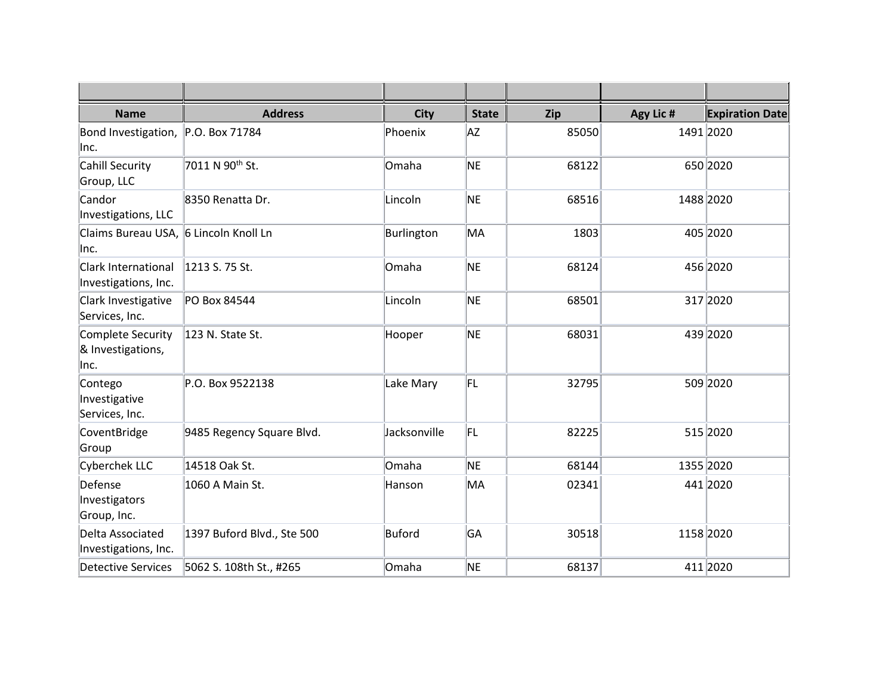| <b>Name</b>                                        | <b>Address</b>              | <b>City</b>  | <b>State</b> | Zip   | Agy Lic # | <b>Expiration Date</b> |
|----------------------------------------------------|-----------------------------|--------------|--------------|-------|-----------|------------------------|
| Bond Investigation,<br>Inc.                        | P.O. Box 71784              | Phoenix      | AZ           | 85050 |           | 1491 2020              |
| Cahill Security<br>Group, LLC                      | 7011 N 90 <sup>th</sup> St. | Omaha        | NE           | 68122 |           | 650 2020               |
| Candor<br>Investigations, LLC                      | 8350 Renatta Dr.            | Lincoln      | <b>NE</b>    | 68516 |           | 1488 2020              |
| Claims Bureau USA, 6 Lincoln Knoll Ln<br>lnc.      |                             | Burlington   | MA           | 1803  |           | 405 2020               |
| <b>Clark International</b><br>Investigations, Inc. | 1213 S. 75 St.              | Omaha        | NE           | 68124 |           | 456 2020               |
| Clark Investigative<br>Services, Inc.              | PO Box 84544                | Lincoln      | NE           | 68501 |           | 317 2020               |
| Complete Security<br>& Investigations,<br>lnc.     | 123 N. State St.            | Hooper       | NE           | 68031 |           | 439 2020               |
| Contego<br>Investigative<br>Services, Inc.         | P.O. Box 9522138            | Lake Mary    | FL           | 32795 |           | 509 2020               |
| CoventBridge<br>Group                              | 9485 Regency Square Blvd.   | Jacksonville | FL           | 82225 |           | 515 2020               |
| Cyberchek LLC                                      | 14518 Oak St.               | Omaha        | NE           | 68144 |           | 1355 2020              |
| Defense<br>Investigators<br>Group, Inc.            | 1060 A Main St.             | Hanson       | MA           | 02341 |           | 441 2020               |
| Delta Associated<br>Investigations, Inc.           | 1397 Buford Blvd., Ste 500  | Buford       | GA           | 30518 |           | 1158 2020              |
| <b>Detective Services</b>                          | 5062 S. 108th St., #265     | Omaha        | NE           | 68137 |           | 411 2020               |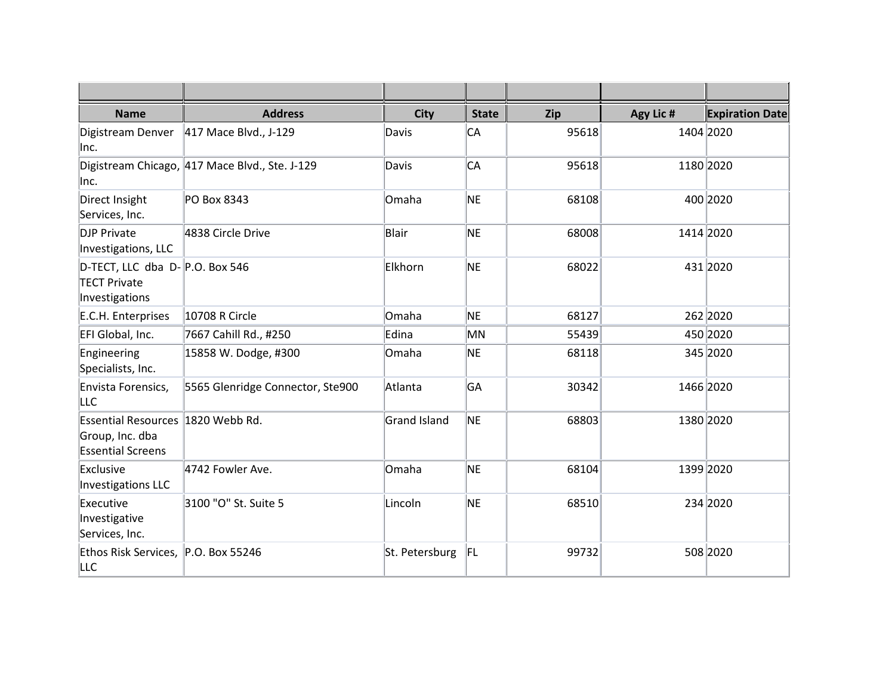| <b>Name</b>                                                                      | <b>Address</b>                                 | <b>City</b>    | <b>State</b> | Zip   | Agy Lic # | <b>Expiration Date</b> |
|----------------------------------------------------------------------------------|------------------------------------------------|----------------|--------------|-------|-----------|------------------------|
| Digistream Denver<br>Inc.                                                        | 417 Mace Blvd., J-129                          | Davis          | IСА          | 95618 |           | 1404 2020              |
| lnc.                                                                             | Digistream Chicago, 417 Mace Blvd., Ste. J-129 | Davis          | IСА          | 95618 |           | 1180 2020              |
| Direct Insight<br>Services, Inc.                                                 | PO Box 8343                                    | Omaha          | NE           | 68108 |           | 400 2020               |
| <b>DJP Private</b><br>Investigations, LLC                                        | 4838 Circle Drive                              | Blair          | NE           | 68008 |           | 1414 2020              |
| D-TECT, LLC dba $D-$ P.O. Box 546<br><b>TECT Private</b><br>Investigations       |                                                | Elkhorn        | NE           | 68022 |           | 431 2020               |
| E.C.H. Enterprises                                                               | 10708 R Circle                                 | Omaha          | NE           | 68127 |           | 262 2020               |
| EFI Global, Inc.                                                                 | 7667 Cahill Rd., #250                          | Edina          | MN           | 55439 |           | 450 2020               |
| Engineering<br>Specialists, Inc.                                                 | 15858 W. Dodge, #300                           | Omaha          | NE           | 68118 |           | 345 2020               |
| Envista Forensics,<br><b>LLC</b>                                                 | 5565 Glenridge Connector, Ste900               | Atlanta        | GA           | 30342 |           | 1466 2020              |
| Essential Resources 1820 Webb Rd.<br>Group, Inc. dba<br><b>Essential Screens</b> |                                                | Grand Island   | <b>NE</b>    | 68803 |           | 1380 2020              |
| Exclusive<br>Investigations LLC                                                  | 4742 Fowler Ave.                               | Omaha          | NE           | 68104 |           | 1399 2020              |
| Executive<br>Investigative<br>Services, Inc.                                     | 3100 "O" St. Suite 5                           | Lincoln        | NE           | 68510 |           | 234 2020               |
| Ethos Risk Services, P.O. Box 55246<br>LLC                                       |                                                | St. Petersburg | FL           | 99732 |           | 508 2020               |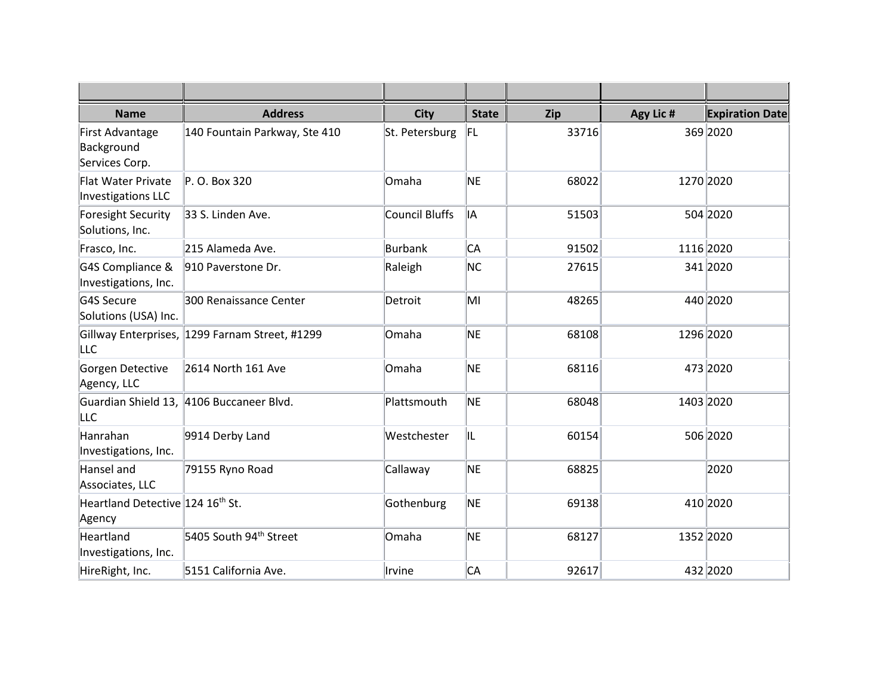| <b>Name</b>                                     | <b>Address</b>                                 | <b>City</b>           | <b>State</b> | Zip   | Agy Lic # | <b>Expiration Date</b> |
|-------------------------------------------------|------------------------------------------------|-----------------------|--------------|-------|-----------|------------------------|
| First Advantage<br>Background<br>Services Corp. | 140 Fountain Parkway, Ste 410                  | St. Petersburg        | FL.          | 33716 |           | 369 2020               |
| <b>Flat Water Private</b><br>Investigations LLC | P. O. Box 320                                  | Omaha                 | NE           | 68022 |           | 1270 2020              |
| Foresight Security<br>Solutions, Inc.           | 33 S. Linden Ave.                              | <b>Council Bluffs</b> | lIA          | 51503 |           | 504 2020               |
| Frasco, Inc.                                    | 215 Alameda Ave.                               | <b>Burbank</b>        | IСА          | 91502 |           | 1116 2020              |
| G4S Compliance &<br>Investigations, Inc.        | 910 Paverstone Dr.                             | Raleigh               | NC.          | 27615 |           | 341 2020               |
| G4S Secure<br>Solutions (USA) Inc.              | 300 Renaissance Center                         | Detroit               | MI           | 48265 |           | 440 2020               |
| LLC                                             | Gillway Enterprises, 1299 Farnam Street, #1299 | Omaha                 | NE           | 68108 |           | 1296 2020              |
| Gorgen Detective<br>Agency, LLC                 | 2614 North 161 Ave                             | Omaha                 | NE           | 68116 |           | 473 2020               |
| <b>LLC</b>                                      | Guardian Shield 13, 4106 Buccaneer Blvd.       | Plattsmouth           | NE           | 68048 |           | 1403 2020              |
| Hanrahan<br>Investigations, Inc.                | 9914 Derby Land                                | Westchester           | IL           | 60154 |           | 506 2020               |
| Hansel and<br>Associates, LLC                   | 79155 Ryno Road                                | Callaway              | NE.          | 68825 |           | 2020                   |
| Heartland Detective 124 16th St.<br>Agency      |                                                | Gothenburg            | NE           | 69138 |           | 410 2020               |
| Heartland<br>Investigations, Inc.               | 5405 South 94 <sup>th</sup> Street             | Omaha                 | NE           | 68127 |           | 1352 2020              |
| HireRight, Inc.                                 | 5151 California Ave.                           | Irvine                | IСА          | 92617 |           | 432 2020               |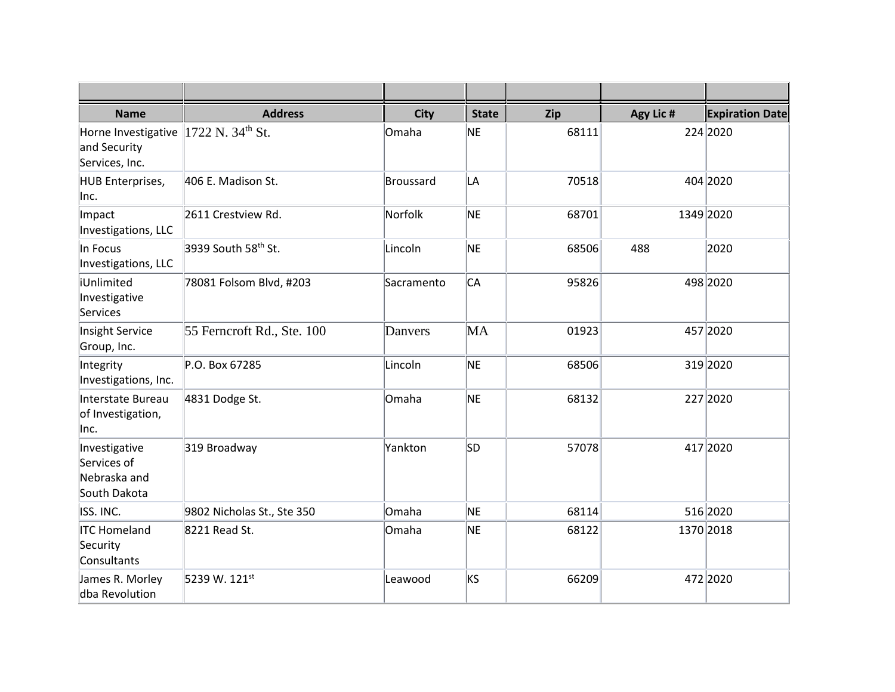| <b>Name</b>                                                  | <b>Address</b>                  | <b>City</b> | <b>State</b> | Zip   | Agy Lic # | <b>Expiration Date</b> |
|--------------------------------------------------------------|---------------------------------|-------------|--------------|-------|-----------|------------------------|
| Horne Investigative<br>and Security<br>Services, Inc.        | $1722$ N. 34 <sup>th</sup> St.  | Omaha       | NE.          | 68111 |           | 224 2020               |
| HUB Enterprises,<br> Inc.                                    | 406 E. Madison St.              | Broussard   | LA           | 70518 |           | 404 2020               |
| Impact<br>Investigations, LLC                                | 2611 Crestview Rd.              | Norfolk     | NE           | 68701 |           | 1349 2020              |
| In Focus<br>Investigations, LLC                              | 3939 South 58 <sup>th</sup> St. | Lincoln     | NE           | 68506 | 488       | 2020                   |
| iUnlimited<br>Investigative<br>Services                      | 78081 Folsom Blvd, #203         | Sacramento  | lСА          | 95826 |           | 498 2020               |
| Insight Service<br>Group, Inc.                               | 55 Ferncroft Rd., Ste. 100      | Danvers     | MA           | 01923 |           | 457 2020               |
| Integrity<br>Investigations, Inc.                            | P.O. Box 67285                  | Lincoln     | NE           | 68506 |           | 319 2020               |
| Interstate Bureau<br>of Investigation,<br> Inc.              | 4831 Dodge St.                  | Omaha       | NE           | 68132 |           | 227 2020               |
| Investigative<br>Services of<br>Nebraska and<br>South Dakota | 319 Broadway                    | Yankton     | lsd.         | 57078 |           | 417 2020               |
| ISS. INC.                                                    | 9802 Nicholas St., Ste 350      | Omaha       | NE           | 68114 |           | 516 2020               |
| <b>ITC Homeland</b><br>Security<br>Consultants               | 8221 Read St.                   | Omaha       | NE           | 68122 | 1370 2018 |                        |
| James R. Morley<br>dba Revolution                            | 5239 W. 121st                   | Leawood     | ks           | 66209 |           | 472 2020               |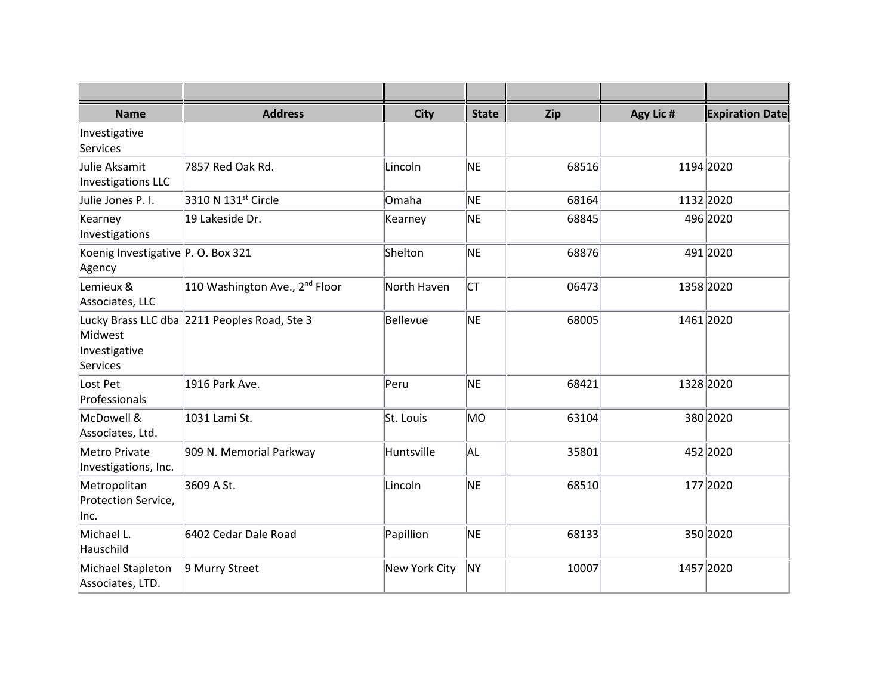| <b>Name</b>                                  | <b>Address</b>                               | <b>City</b>          | <b>State</b> | Zip   | Agy Lic # | <b>Expiration Date</b> |
|----------------------------------------------|----------------------------------------------|----------------------|--------------|-------|-----------|------------------------|
| Investigative<br>Services                    |                                              |                      |              |       |           |                        |
| Julie Aksamit<br>Investigations LLC          | 7857 Red Oak Rd.                             | Lincoln              | NE           | 68516 |           | 1194 2020              |
| Julie Jones P. I.                            | 3310 N 131st Circle                          | Omaha                | NE           | 68164 |           | 1132 2020              |
| Kearney<br>Investigations                    | 19 Lakeside Dr.                              | Kearney              | NE           | 68845 |           | 496 2020               |
| Koenig Investigative P. O. Box 321<br>Agency |                                              | Shelton              | NE           | 68876 |           | 491 2020               |
| Lemieux &<br>Associates, LLC                 | 110 Washington Ave., 2 <sup>nd</sup> Floor   | North Haven          | lст          | 06473 |           | 1358 2020              |
| Midwest<br>Investigative<br>Services         | Lucky Brass LLC dba 2211 Peoples Road, Ste 3 | Bellevue             | NE           | 68005 |           | 1461 2020              |
| Lost Pet<br>Professionals                    | 1916 Park Ave.                               | Peru                 | NE           | 68421 |           | 1328 2020              |
| McDowell &<br>Associates, Ltd.               | 1031 Lami St.                                | St. Louis            | lмо          | 63104 |           | 380 2020               |
| Metro Private<br>Investigations, Inc.        | 909 N. Memorial Parkway                      | Huntsville           | AL.          | 35801 |           | 452 2020               |
| Metropolitan<br>Protection Service,<br>Inc.  | 3609 A St.                                   | Lincoln              | NE           | 68510 |           | 177 2020               |
| Michael L.<br>Hauschild                      | 6402 Cedar Dale Road                         | Papillion            | NE           | 68133 |           | 350 2020               |
| Michael Stapleton<br>Associates, LTD.        | 9 Murry Street                               | <b>New York City</b> | ∣NΥ          | 10007 |           | 1457 2020              |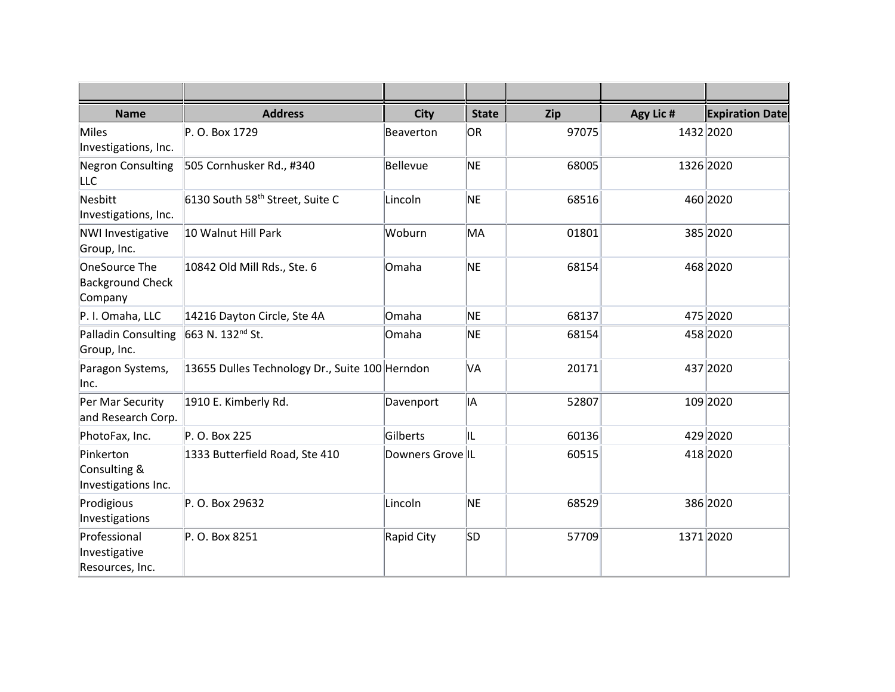| <b>Name</b>                                         | <b>Address</b>                                 | <b>City</b>      | <b>State</b> | Zip   | Agy Lic # | <b>Expiration Date</b> |
|-----------------------------------------------------|------------------------------------------------|------------------|--------------|-------|-----------|------------------------|
| Miles<br>Investigations, Inc.                       | P. O. Box 1729                                 | Beaverton        | OR.          | 97075 |           | 1432 2020              |
| Negron Consulting<br><b>LLC</b>                     | 505 Cornhusker Rd., #340                       | Bellevue         | NE           | 68005 |           | 1326 2020              |
| Nesbitt<br>Investigations, Inc.                     | 6130 South 58 <sup>th</sup> Street, Suite C    | Lincoln          | NE           | 68516 |           | 460 2020               |
| <b>NWI Investigative</b><br>Group, Inc.             | 10 Walnut Hill Park                            | Woburn           | MA           | 01801 |           | 385 2020               |
| OneSource The<br><b>Background Check</b><br>Company | 10842 Old Mill Rds., Ste. 6                    | Omaha            | NE           | 68154 |           | 468 2020               |
| P. I. Omaha, LLC                                    | 14216 Dayton Circle, Ste 4A                    | Omaha            | NE           | 68137 |           | 475 2020               |
| Palladin Consulting<br>Group, Inc.                  | 663 N. 132 <sup>nd</sup> St.                   | Omaha            | NE           | 68154 |           | 458 2020               |
| Paragon Systems,<br> Inc.                           | 13655 Dulles Technology Dr., Suite 100 Herndon |                  | VA           | 20171 |           | 437 2020               |
| Per Mar Security<br>and Research Corp.              | 1910 E. Kimberly Rd.                           | Davenport        | İΑ           | 52807 |           | 109 2020               |
| PhotoFax, Inc.                                      | P. O. Box 225                                  | Gilberts         | IIL          | 60136 |           | 429 2020               |
| Pinkerton<br>Consulting &<br>Investigations Inc.    | 1333 Butterfield Road, Ste 410                 | Downers Grove IL |              | 60515 |           | 418 2020               |
| Prodigious<br>Investigations                        | P. O. Box 29632                                | Lincoln          | NE           | 68529 |           | 386 2020               |
| Professional<br>Investigative<br>Resources, Inc.    | P. O. Box 8251                                 | Rapid City       | lsd          | 57709 |           | 1371 2020              |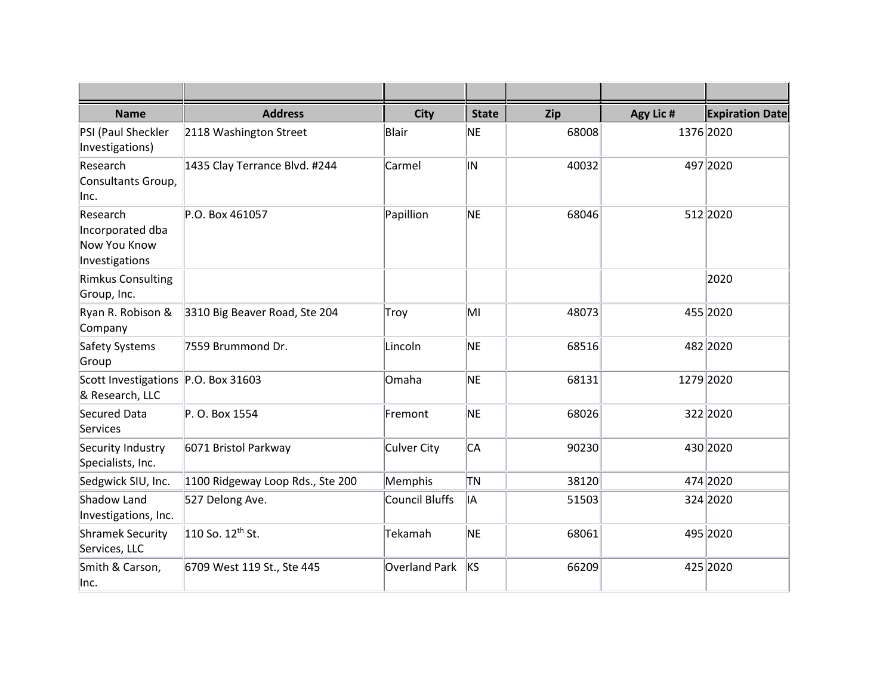| <b>Name</b>                                                    | <b>Address</b>                       | <b>City</b>           | <b>State</b> | Zip   | Agy Lic # | <b>Expiration Date</b> |
|----------------------------------------------------------------|--------------------------------------|-----------------------|--------------|-------|-----------|------------------------|
| PSI (Paul Sheckler<br>Investigations)                          | 2118 Washington Street               | Blair                 | NE           | 68008 |           | 1376 2020              |
| Research<br>Consultants Group,<br> Inc.                        | 1435 Clay Terrance Blvd. #244        | Carmel                | IN           | 40032 |           | 497 2020               |
| Research<br>Incorporated dba<br>Now You Know<br>Investigations | P.O. Box 461057                      | Papillion             | NE           | 68046 |           | 512 2020               |
| <b>Rimkus Consulting</b><br>Group, Inc.                        |                                      |                       |              |       |           | 2020                   |
| Ryan R. Robison &<br>Company                                   | 3310 Big Beaver Road, Ste 204        | Troy                  | MI           | 48073 |           | 455 2020               |
| Safety Systems<br>Group                                        | 7559 Brummond Dr.                    | Lincoln               | NE           | 68516 |           | 482 2020               |
| Scott Investigations P.O. Box 31603<br>& Research, LLC         |                                      | Omaha                 | NE.          | 68131 |           | 1279 2020              |
| Secured Data<br>Services                                       | P. O. Box 1554                       | Fremont               | NE.          | 68026 |           | 322 2020               |
| Security Industry<br>Specialists, Inc.                         | 6071 Bristol Parkway                 | <b>Culver City</b>    | lСА          | 90230 |           | 430 2020               |
| Sedgwick SIU, Inc.                                             | 1100 Ridgeway Loop Rds., Ste 200     | Memphis               | TN           | 38120 |           | 474 2020               |
| Shadow Land<br>Investigations, Inc.                            | 527 Delong Ave.                      | <b>Council Bluffs</b> | İΑ           | 51503 |           | 324 2020               |
| <b>Shramek Security</b><br>Services, LLC                       | $\vert$ 110 So. 12 <sup>th</sup> St. | Tekamah               | NE           | 68061 |           | 495 2020               |
| Smith & Carson,<br>lnc.                                        | 6709 West 119 St., Ste 445           | <b>Overland Park</b>  | <b>IKS</b>   | 66209 |           | 425 2020               |